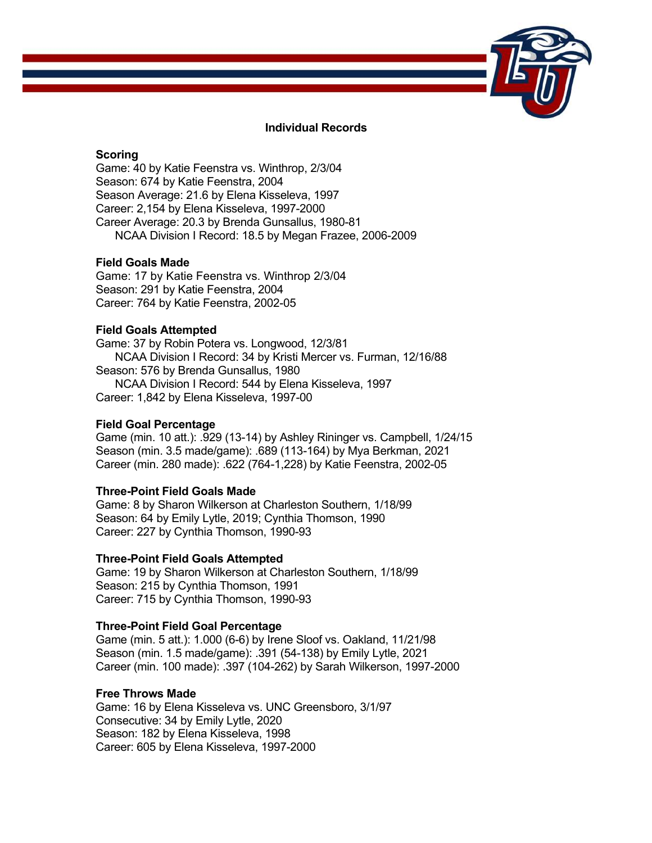

## **Individual Records**

## **Scoring**

Game: 40 by Katie Feenstra vs. Winthrop, 2/3/04 Season: 674 by Katie Feenstra, 2004 Season Average: 21.6 by Elena Kisseleva, 1997 Career: 2,154 by Elena Kisseleva, 1997-2000 Career Average: 20.3 by Brenda Gunsallus, 1980-81 NCAA Division I Record: 18.5 by Megan Frazee, 2006-2009

# **Field Goals Made**

Game: 17 by Katie Feenstra vs. Winthrop 2/3/04 Season: 291 by Katie Feenstra, 2004 Career: 764 by Katie Feenstra, 2002-05

# **Field Goals Attempted**

Game: 37 by Robin Potera vs. Longwood, 12/3/81 NCAA Division I Record: 34 by Kristi Mercer vs. Furman, 12/16/88 Season: 576 by Brenda Gunsallus, 1980 NCAA Division I Record: 544 by Elena Kisseleva, 1997 Career: 1,842 by Elena Kisseleva, 1997-00

#### **Field Goal Percentage**

Game (min. 10 att.): .929 (13-14) by Ashley Rininger vs. Campbell, 1/24/15 Season (min. 3.5 made/game): .689 (113-164) by Mya Berkman, 2021 Career (min. 280 made): .622 (764-1,228) by Katie Feenstra, 2002-05

### **Three-Point Field Goals Made**

Game: 8 by Sharon Wilkerson at Charleston Southern, 1/18/99 Season: 64 by Emily Lytle, 2019; Cynthia Thomson, 1990 Career: 227 by Cynthia Thomson, 1990-93

#### **Three-Point Field Goals Attempted**

Game: 19 by Sharon Wilkerson at Charleston Southern, 1/18/99 Season: 215 by Cynthia Thomson, 1991 Career: 715 by Cynthia Thomson, 1990-93

## **Three-Point Field Goal Percentage**

Game (min. 5 att.): 1.000 (6-6) by Irene Sloof vs. Oakland, 11/21/98 Season (min. 1.5 made/game): .391 (54-138) by Emily Lytle, 2021 Career (min. 100 made): .397 (104-262) by Sarah Wilkerson, 1997-2000

#### **Free Throws Made**

Game: 16 by Elena Kisseleva vs. UNC Greensboro, 3/1/97 Consecutive: 34 by Emily Lytle, 2020 Season: 182 by Elena Kisseleva, 1998 Career: 605 by Elena Kisseleva, 1997-2000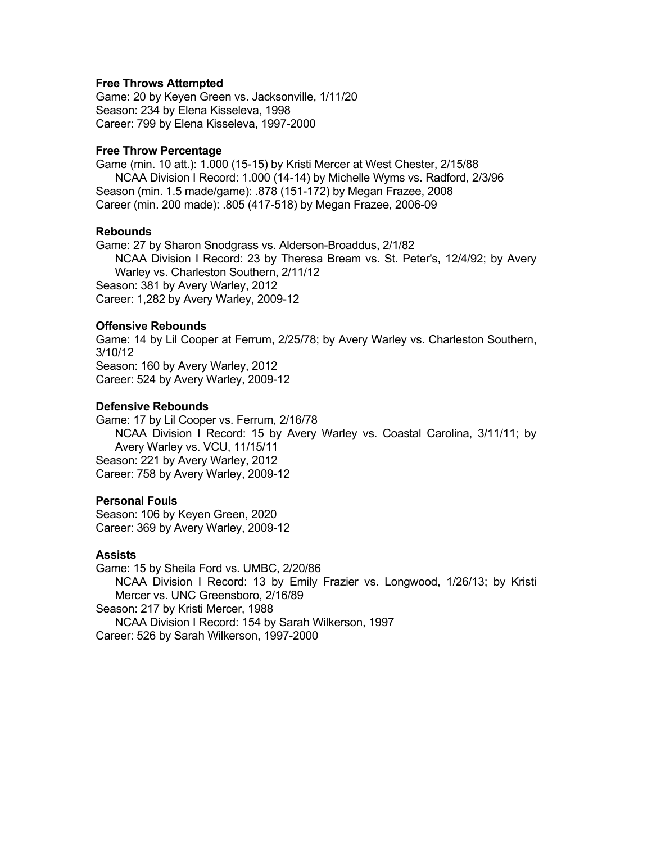#### **Free Throws Attempted**

Game: 20 by Keyen Green vs. Jacksonville, 1/11/20 Season: 234 by Elena Kisseleva, 1998 Career: 799 by Elena Kisseleva, 1997-2000

#### **Free Throw Percentage**

Game (min. 10 att.): 1.000 (15-15) by Kristi Mercer at West Chester, 2/15/88 NCAA Division I Record: 1.000 (14-14) by Michelle Wyms vs. Radford, 2/3/96 Season (min. 1.5 made/game): .878 (151-172) by Megan Frazee, 2008 Career (min. 200 made): .805 (417-518) by Megan Frazee, 2006-09

## **Rebounds**

Game: 27 by Sharon Snodgrass vs. Alderson-Broaddus, 2/1/82 NCAA Division I Record: 23 by Theresa Bream vs. St. Peter's, 12/4/92; by Avery Warley vs. Charleston Southern, 2/11/12 Season: 381 by Avery Warley, 2012 Career: 1,282 by Avery Warley, 2009-12

## **Offensive Rebounds**

Game: 14 by Lil Cooper at Ferrum, 2/25/78; by Avery Warley vs. Charleston Southern, 3/10/12 Season: 160 by Avery Warley, 2012 Career: 524 by Avery Warley, 2009-12

## **Defensive Rebounds**

Game: 17 by Lil Cooper vs. Ferrum, 2/16/78 NCAA Division I Record: 15 by Avery Warley vs. Coastal Carolina, 3/11/11; by Avery Warley vs. VCU, 11/15/11 Season: 221 by Avery Warley, 2012 Career: 758 by Avery Warley, 2009-12

## **Personal Fouls**

Season: 106 by Keyen Green, 2020 Career: 369 by Avery Warley, 2009-12

#### **Assists**

Game: 15 by Sheila Ford vs. UMBC, 2/20/86 NCAA Division I Record: 13 by Emily Frazier vs. Longwood, 1/26/13; by Kristi Mercer vs. UNC Greensboro, 2/16/89 Season: 217 by Kristi Mercer, 1988 NCAA Division I Record: 154 by Sarah Wilkerson, 1997 Career: 526 by Sarah Wilkerson, 1997-2000